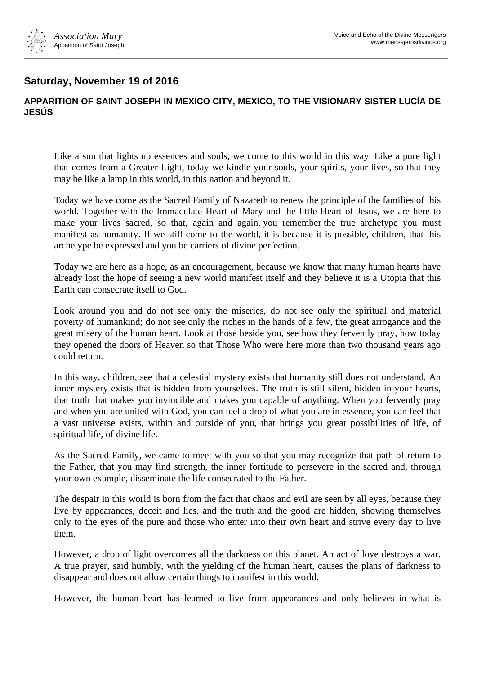

## **Saturday, November 19 of 2016**

## **APPARITION OF SAINT JOSEPH IN MEXICO CITY, MEXICO, TO THE VISIONARY SISTER LUCÍA DE JESÚS**

Like a sun that lights up essences and souls, we come to this world in this way. Like a pure light that comes from a Greater Light, today we kindle your souls, your spirits, your lives, so that they may be like a lamp in this world, in this nation and beyond it.

Today we have come as the Sacred Family of Nazareth to renew the principle of the families of this world. Together with the Immaculate Heart of Mary and the little Heart of Jesus, we are here to make your lives sacred, so that, again and again, you remember the true archetype you must manifest as humanity. If we still come to the world, it is because it is possible, children, that this archetype be expressed and you be carriers of divine perfection.

Today we are here as a hope, as an encouragement, because we know that many human hearts have already lost the hope of seeing a new world manifest itself and they believe it is a Utopia that this Earth can consecrate itself to God.

Look around you and do not see only the miseries, do not see only the spiritual and material poverty of humankind; do not see only the riches in the hands of a few, the great arrogance and the great misery of the human heart. Look at those beside you, see how they fervently pray, how today they opened the doors of Heaven so that Those Who were here more than two thousand years ago could return.

In this way, children, see that a celestial mystery exists that humanity still does not understand. An inner mystery exists that is hidden from yourselves. The truth is still silent, hidden in your hearts, that truth that makes you invincible and makes you capable of anything. When you fervently pray and when you are united with God, you can feel a drop of what you are in essence, you can feel that a vast universe exists, within and outside of you, that brings you great possibilities of life, of spiritual life, of divine life.

As the Sacred Family, we came to meet with you so that you may recognize that path of return to the Father, that you may find strength, the inner fortitude to persevere in the sacred and, through your own example, disseminate the life consecrated to the Father.

The despair in this world is born from the fact that chaos and evil are seen by all eyes, because they live by appearances, deceit and lies, and the truth and the good are hidden, showing themselves only to the eyes of the pure and those who enter into their own heart and strive every day to live them.

However, a drop of light overcomes all the darkness on this planet. An act of love destroys a war. A true prayer, said humbly, with the yielding of the human heart, causes the plans of darkness to disappear and does not allow certain things to manifest in this world.

However, the human heart has learned to live from appearances and only believes in what is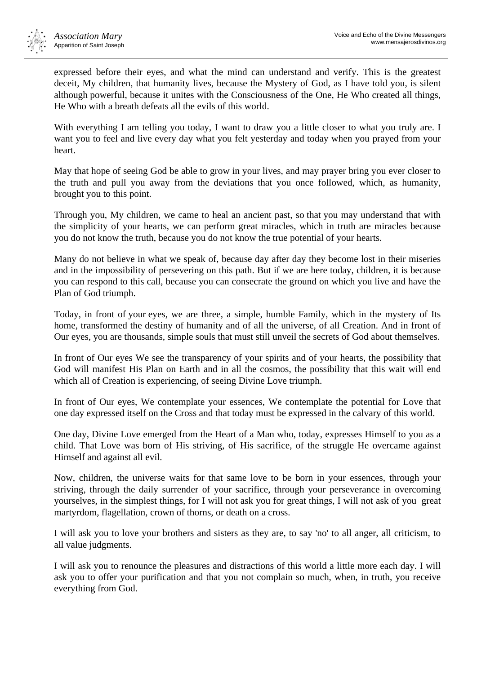

expressed before their eyes, and what the mind can understand and verify. This is the greatest deceit, My children, that humanity lives, because the Mystery of God, as I have told you, is silent although powerful, because it unites with the Consciousness of the One, He Who created all things, He Who with a breath defeats all the evils of this world.

With everything I am telling you today, I want to draw you a little closer to what you truly are. I want you to feel and live every day what you felt yesterday and today when you prayed from your heart.

May that hope of seeing God be able to grow in your lives, and may prayer bring you ever closer to the truth and pull you away from the deviations that you once followed, which, as humanity, brought you to this point.

Through you, My children, we came to heal an ancient past, so that you may understand that with the simplicity of your hearts, we can perform great miracles, which in truth are miracles because you do not know the truth, because you do not know the true potential of your hearts.

Many do not believe in what we speak of, because day after day they become lost in their miseries and in the impossibility of persevering on this path. But if we are here today, children, it is because you can respond to this call, because you can consecrate the ground on which you live and have the Plan of God triumph.

Today, in front of your eyes, we are three, a simple, humble Family, which in the mystery of Its home, transformed the destiny of humanity and of all the universe, of all Creation. And in front of Our eyes, you are thousands, simple souls that must still unveil the secrets of God about themselves.

In front of Our eyes We see the transparency of your spirits and of your hearts, the possibility that God will manifest His Plan on Earth and in all the cosmos, the possibility that this wait will end which all of Creation is experiencing, of seeing Divine Love triumph.

In front of Our eyes, We contemplate your essences, We contemplate the potential for Love that one day expressed itself on the Cross and that today must be expressed in the calvary of this world.

One day, Divine Love emerged from the Heart of a Man who, today, expresses Himself to you as a child. That Love was born of His striving, of His sacrifice, of the struggle He overcame against Himself and against all evil.

Now, children, the universe waits for that same love to be born in your essences, through your striving, through the daily surrender of your sacrifice, through your perseverance in overcoming yourselves, in the simplest things, for I will not ask you for great things, I will not ask of you great martyrdom, flagellation, crown of thorns, or death on a cross.

I will ask you to love your brothers and sisters as they are, to say 'no' to all anger, all criticism, to all value judgments.

I will ask you to renounce the pleasures and distractions of this world a little more each day. I will ask you to offer your purification and that you not complain so much, when, in truth, you receive everything from God.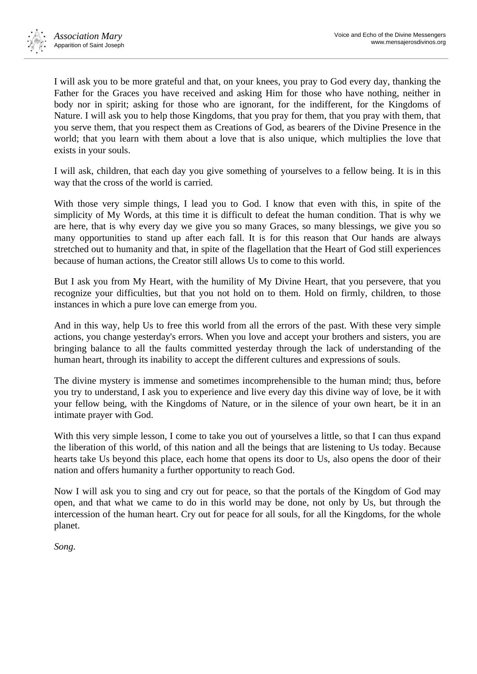

I will ask you to be more grateful and that, on your knees, you pray to God every day, thanking the Father for the Graces you have received and asking Him for those who have nothing, neither in body nor in spirit; asking for those who are ignorant, for the indifferent, for the Kingdoms of Nature. I will ask you to help those Kingdoms, that you pray for them, that you pray with them, that you serve them, that you respect them as Creations of God, as bearers of the Divine Presence in the world; that you learn with them about a love that is also unique, which multiplies the love that exists in your souls.

I will ask, children, that each day you give something of yourselves to a fellow being. It is in this way that the cross of the world is carried.

With those very simple things, I lead you to God. I know that even with this, in spite of the simplicity of My Words, at this time it is difficult to defeat the human condition. That is why we are here, that is why every day we give you so many Graces, so many blessings, we give you so many opportunities to stand up after each fall. It is for this reason that Our hands are always stretched out to humanity and that, in spite of the flagellation that the Heart of God still experiences because of human actions, the Creator still allows Us to come to this world.

But I ask you from My Heart, with the humility of My Divine Heart, that you persevere, that you recognize your difficulties, but that you not hold on to them. Hold on firmly, children, to those instances in which a pure love can emerge from you.

And in this way, help Us to free this world from all the errors of the past. With these very simple actions, you change yesterday's errors. When you love and accept your brothers and sisters, you are bringing balance to all the faults committed yesterday through the lack of understanding of the human heart, through its inability to accept the different cultures and expressions of souls.

The divine mystery is immense and sometimes incomprehensible to the human mind; thus, before you try to understand, I ask you to experience and live every day this divine way of love, be it with your fellow being, with the Kingdoms of Nature, or in the silence of your own heart, be it in an intimate prayer with God.

With this very simple lesson, I come to take you out of yourselves a little, so that I can thus expand the liberation of this world, of this nation and all the beings that are listening to Us today. Because hearts take Us beyond this place, each home that opens its door to Us, also opens the door of their nation and offers humanity a further opportunity to reach God.

Now I will ask you to sing and cry out for peace, so that the portals of the Kingdom of God may open, and that what we came to do in this world may be done, not only by Us, but through the intercession of the human heart. Cry out for peace for all souls, for all the Kingdoms, for the whole planet.

*Song.*